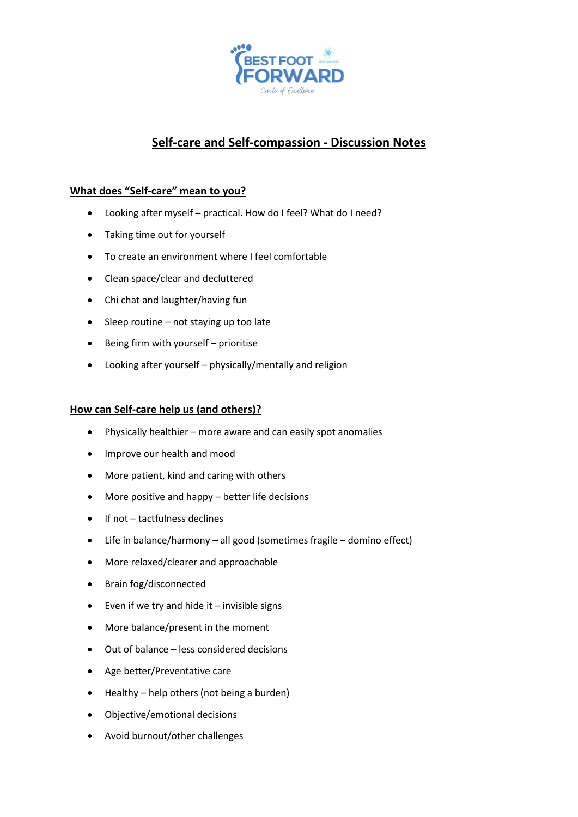

# **Self-care and Self-compassion - Discussion Notes**

# **What does "Self-care" mean to you?**

- Looking after myself practical. How do I feel? What do I need?
- Taking time out for yourself
- To create an environment where I feel comfortable
- Clean space/clear and decluttered
- Chi chat and laughter/having fun
- Sleep routine not staying up too late
- Being firm with yourself prioritise
- Looking after yourself physically/mentally and religion

### **How can Self-care help us (and others)?**

- Physically healthier more aware and can easily spot anomalies
- Improve our health and mood
- More patient, kind and caring with others
- More positive and happy better life decisions
- If not tactfulness declines
- Life in balance/harmony all good (sometimes fragile domino effect)
- More relaxed/clearer and approachable
- Brain fog/disconnected
- $\bullet$  Even if we try and hide it invisible signs
- More balance/present in the moment
- Out of balance less considered decisions
- Age better/Preventative care
- Healthy help others (not being a burden)
- Objective/emotional decisions
- Avoid burnout/other challenges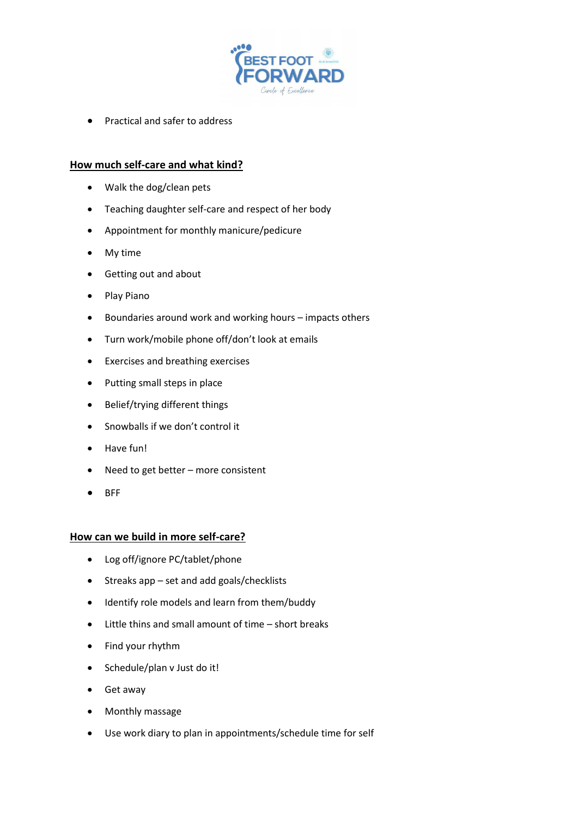

• Practical and safer to address

## **How much self-care and what kind?**

- Walk the dog/clean pets
- Teaching daughter self-care and respect of her body
- Appointment for monthly manicure/pedicure
- My time
- Getting out and about
- Play Piano
- Boundaries around work and working hours impacts others
- Turn work/mobile phone off/don't look at emails
- Exercises and breathing exercises
- Putting small steps in place
- Belief/trying different things
- Snowballs if we don't control it
- Have fun!
- Need to get better more consistent
- BFF

#### **How can we build in more self-care?**

- Log off/ignore PC/tablet/phone
- Streaks app set and add goals/checklists
- Identify role models and learn from them/buddy
- Little thins and small amount of time short breaks
- Find your rhythm
- Schedule/plan v Just do it!
- Get away
- Monthly massage
- Use work diary to plan in appointments/schedule time for self